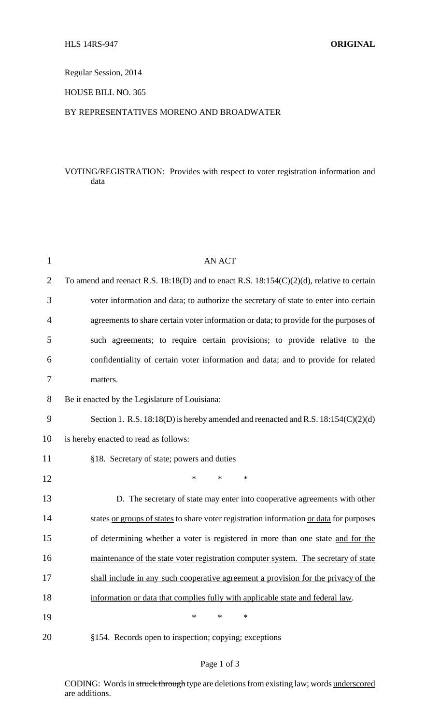Regular Session, 2014

HOUSE BILL NO. 365

#### BY REPRESENTATIVES MORENO AND BROADWATER

# VOTING/REGISTRATION: Provides with respect to voter registration information and data

| $\mathbf 1$    | <b>AN ACT</b>                                                                                  |  |  |  |
|----------------|------------------------------------------------------------------------------------------------|--|--|--|
| $\overline{2}$ | To amend and reenact R.S. $18:18(D)$ and to enact R.S. $18:154(C)(2)(d)$ , relative to certain |  |  |  |
| 3              | voter information and data; to authorize the secretary of state to enter into certain          |  |  |  |
| $\overline{4}$ | agreements to share certain voter information or data; to provide for the purposes of          |  |  |  |
| 5              | such agreements; to require certain provisions; to provide relative to the                     |  |  |  |
| 6              | confidentiality of certain voter information and data; and to provide for related              |  |  |  |
| 7              | matters.                                                                                       |  |  |  |
| 8              | Be it enacted by the Legislature of Louisiana:                                                 |  |  |  |
| 9              | Section 1. R.S. $18:18(D)$ is hereby amended and reenacted and R.S. $18:154(C)(2)(d)$          |  |  |  |
| 10             | is hereby enacted to read as follows:                                                          |  |  |  |
| 11             | §18. Secretary of state; powers and duties                                                     |  |  |  |
| 12             | $\ast$<br>∗<br>*                                                                               |  |  |  |
| 13             | D. The secretary of state may enter into cooperative agreements with other                     |  |  |  |
| 14             | states or groups of states to share voter registration information or data for purposes        |  |  |  |
| 15             | of determining whether a voter is registered in more than one state and for the                |  |  |  |
| 16             | maintenance of the state voter registration computer system. The secretary of state            |  |  |  |
| 17             | shall include in any such cooperative agreement a provision for the privacy of the             |  |  |  |
| 18             | information or data that complies fully with applicable state and federal law.                 |  |  |  |
| 19             | $\ast$<br>*<br>$\ast$                                                                          |  |  |  |
| 20             | §154. Records open to inspection; copying; exceptions                                          |  |  |  |

### Page 1 of 3

CODING: Words in struck through type are deletions from existing law; words underscored are additions.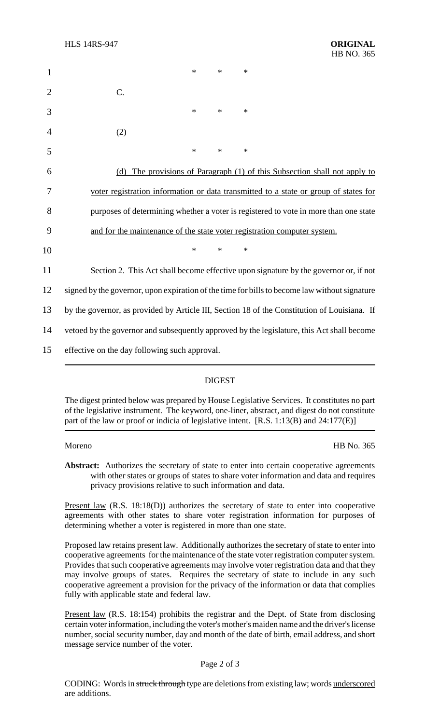| 1              |                                                                                               | $\ast$ | $\ast$ | ∗      |  |  |
|----------------|-----------------------------------------------------------------------------------------------|--------|--------|--------|--|--|
| $\overline{2}$ | C.                                                                                            |        |        |        |  |  |
| 3              |                                                                                               | *      | $\ast$ | $\ast$ |  |  |
| 4              | (2)                                                                                           |        |        |        |  |  |
| 5              |                                                                                               | $\ast$ | $\ast$ | $\ast$ |  |  |
| 6              | The provisions of Paragraph (1) of this Subsection shall not apply to<br>(d)                  |        |        |        |  |  |
| 7              | voter registration information or data transmitted to a state or group of states for          |        |        |        |  |  |
| 8              | purposes of determining whether a voter is registered to vote in more than one state          |        |        |        |  |  |
| 9              | and for the maintenance of the state voter registration computer system.                      |        |        |        |  |  |
| 10             |                                                                                               | $\ast$ | $\ast$ | $\ast$ |  |  |
| 11             | Section 2. This Act shall become effective upon signature by the governor or, if not          |        |        |        |  |  |
| 12             | signed by the governor, upon expiration of the time for bills to become law without signature |        |        |        |  |  |
| 13             | by the governor, as provided by Article III, Section 18 of the Constitution of Louisiana. If  |        |        |        |  |  |
| 14             | vetoed by the governor and subsequently approved by the legislature, this Act shall become    |        |        |        |  |  |
| 15             | effective on the day following such approval.                                                 |        |        |        |  |  |

## DIGEST

The digest printed below was prepared by House Legislative Services. It constitutes no part of the legislative instrument. The keyword, one-liner, abstract, and digest do not constitute part of the law or proof or indicia of legislative intent. [R.S. 1:13(B) and 24:177(E)]

Moreno HB No. 365

Abstract: Authorizes the secretary of state to enter into certain cooperative agreements with other states or groups of states to share voter information and data and requires privacy provisions relative to such information and data.

Present law (R.S. 18:18(D)) authorizes the secretary of state to enter into cooperative agreements with other states to share voter registration information for purposes of determining whether a voter is registered in more than one state.

Proposed law retains present law. Additionally authorizes the secretary of state to enter into cooperative agreements for the maintenance of the state voter registration computer system. Provides that such cooperative agreements may involve voter registration data and that they may involve groups of states. Requires the secretary of state to include in any such cooperative agreement a provision for the privacy of the information or data that complies fully with applicable state and federal law.

Present law (R.S. 18:154) prohibits the registrar and the Dept. of State from disclosing certain voter information, including the voter's mother's maiden name and the driver's license number, social security number, day and month of the date of birth, email address, and short message service number of the voter.